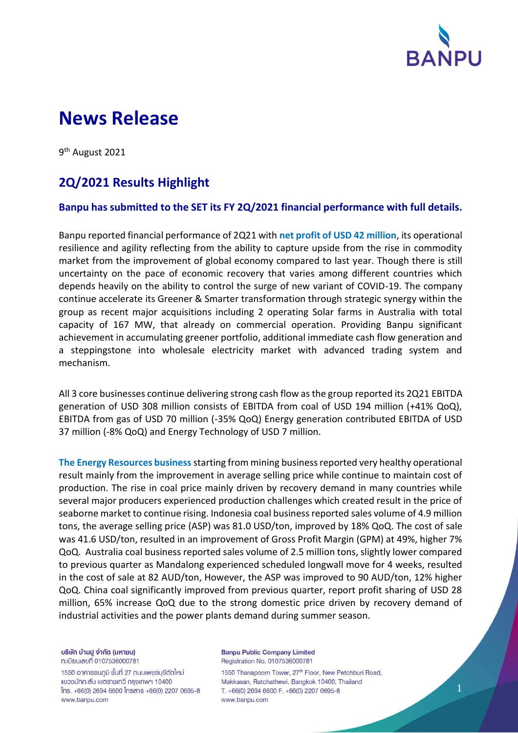

# **News Release**

9<sup>th</sup> August 2021

## **2Q/2021 Results Highlight**

#### **Banpu has submitted to the SET its FY 2Q/2021 financial performance with full details.**

Banpu reported financial performance of 2Q21 with **net profit of USD 42 million**, its operational resilience and agility reflecting from the ability to capture upside from the rise in commodity market from the improvement of global economy compared to last year. Though there is still uncertainty on the pace of economic recovery that varies among different countries which depends heavily on the ability to control the surge of new variant of COVID-19. The company continue accelerate its Greener & Smarter transformation through strategic synergy within the group as recent major acquisitions including 2 operating Solar farms in Australia with total capacity of 167 MW, that already on commercial operation. Providing Banpu significant achievement in accumulating greener portfolio, additional immediate cash flow generation and a steppingstone into wholesale electricity market with advanced trading system and mechanism.

All 3 core businesses continue delivering strong cash flow as the group reported its 2Q21 EBITDA generation of USD 308 million consists of EBITDA from coal of USD 194 million (+41% QoQ), EBITDA from gas of USD 70 million (-35% QoQ) Energy generation contributed EBITDA of USD 37 million (-8% QoQ) and Energy Technology of USD 7 million.

**The Energy Resources business** starting from mining business reported very healthy operational result mainly from the improvement in average selling price while continue to maintain cost of production. The rise in coal price mainly driven by recovery demand in many countries while several major producers experienced production challenges which created result in the price of seaborne market to continue rising. Indonesia coal business reported sales volume of 4.9 million tons, the average selling price (ASP) was 81.0 USD/ton, improved by 18% QoQ. The cost of sale was 41.6 USD/ton, resulted in an improvement of Gross Profit Margin (GPM) at 49%, higher 7% QoQ. Australia coal business reported sales volume of 2.5 million tons, slightly lower compared to previous quarter as Mandalong experienced scheduled longwall move for 4 weeks, resulted in the cost of sale at 82 AUD/ton, However, the ASP was improved to 90 AUD/ton, 12% higher QoQ. China coal significantly improved from previous quarter, report profit sharing of USD 28 million, 65% increase QoQ due to the strong domestic price driven by recovery demand of industrial activities and the power plants demand during summer season.

บริษัท บ้านปู จำกัด (มหาชน) ทะเบียนเลขที่ 0107536000781

1550 อาคารธนกูมิ ชั้นที่ 27 ถนนเพชรบุรีตัดใหม่ แขวงมักกะสัน เขตราชเทวี กรุงเทพฯ 10400  $Ins. +66(0)$  2694 6600  $Însans +66(0)$  2207 0695-8 www.banpu.com

**Banpu Public Company Limited** Registration No. 0107536000781

1550 Thanapoom Tower, 27<sup>th</sup> Floor, New Petchburi Road, Makkasan, Ratchathewi, Bangkok 10400, Thailand T. +66(0) 2694 6600 F. +66(0) 2207 0695-8 www.banpu.com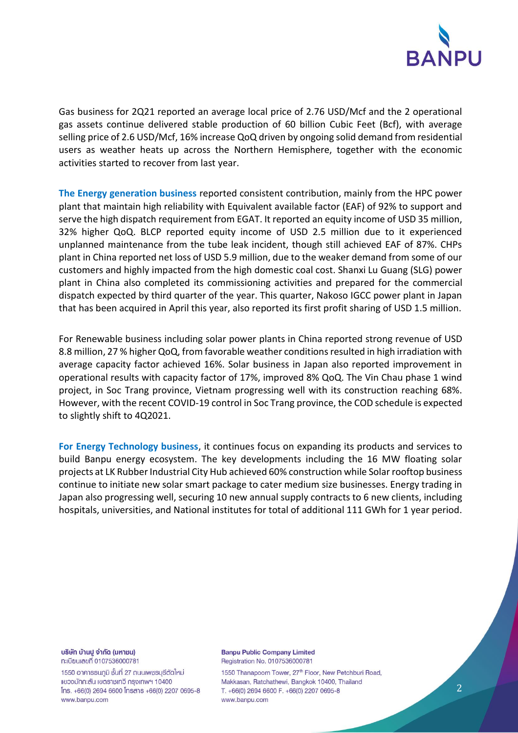

Gas business for 2Q21 reported an average local price of 2.76 USD/Mcf and the 2 operational gas assets continue delivered stable production of 60 billion Cubic Feet (Bcf), with average selling price of 2.6 USD/Mcf, 16% increase QoQ driven by ongoing solid demand from residential users as weather heats up across the Northern Hemisphere, together with the economic activities started to recover from last year.

**The Energy generation business** reported consistent contribution, mainly from the HPC power plant that maintain high reliability with Equivalent available factor (EAF) of 92% to support and serve the high dispatch requirement from EGAT. It reported an equity income of USD 35 million, 32% higher QoQ. BLCP reported equity income of USD 2.5 million due to it experienced unplanned maintenance from the tube leak incident, though still achieved EAF of 87%. CHPs plant in China reported net loss of USD 5.9 million, due to the weaker demand from some of our customers and highly impacted from the high domestic coal cost. Shanxi Lu Guang (SLG) power plant in China also completed its commissioning activities and prepared for the commercial dispatch expected by third quarter of the year. This quarter, Nakoso IGCC power plant in Japan that has been acquired in April this year, also reported its first profit sharing of USD 1.5 million.

For Renewable business including solar power plants in China reported strong revenue of USD 8.8 million, 27 % higher QoQ, from favorable weather conditions resulted in high irradiation with average capacity factor achieved 16%. Solar business in Japan also reported improvement in operational results with capacity factor of 17%, improved 8% QoQ. The Vin Chau phase 1 wind project, in Soc Trang province, Vietnam progressing well with its construction reaching 68%. However, with the recent COVID-19 control in Soc Trang province, the COD schedule is expected to slightly shift to 4Q2021.

**For Energy Technology business**, it continues focus on expanding its products and services to build Banpu energy ecosystem. The key developments including the 16 MW floating solar projects at LK Rubber Industrial City Hub achieved 60% construction while Solar rooftop business continue to initiate new solar smart package to cater medium size businesses. Energy trading in Japan also progressing well, securing 10 new annual supply contracts to 6 new clients, including hospitals, universities, and National institutes for total of additional 111 GWh for 1 year period.

บริษัท บ้านปู จำกัด (มหาชน) ทะเบียนเลขที่ 0107536000781

1550 อาคารธนกูมิ ชั้นที่ 27 ถนนเพชรบุรีตัดใหม่ แขวงมักกะสัน เขตราชเทวี กรุงเทพฯ 10400 lns. +66(0) 2694 6600 lnsans +66(0) 2207 0695-8 www.banpu.com

**Banpu Public Company Limited** Registration No. 0107536000781

1550 Thanapoom Tower, 27<sup>th</sup> Floor, New Petchburi Road, Makkasan, Ratchathewi, Bangkok 10400, Thailand T. +66(0) 2694 6600 F. +66(0) 2207 0695-8 www.banpu.com

2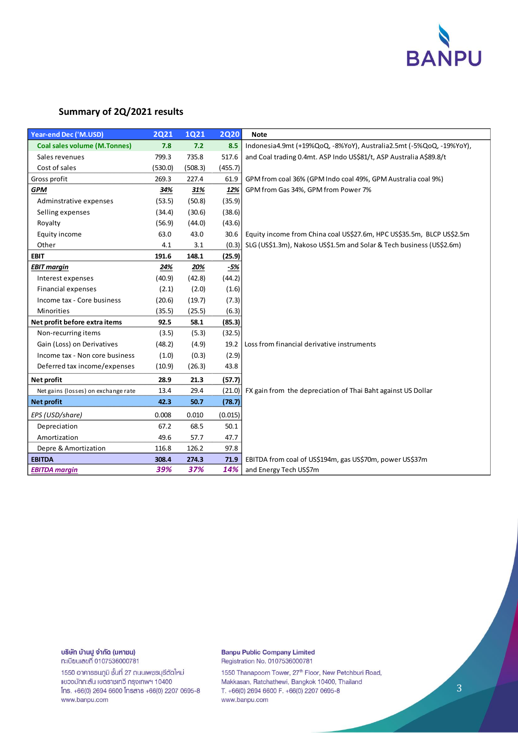

#### **Summary of 2Q/2021 results**

| Year-end Dec ('M.USD)               | <b>2Q21</b> | <b>1Q21</b> | <b>2Q20</b> | <b>Note</b>                                                           |
|-------------------------------------|-------------|-------------|-------------|-----------------------------------------------------------------------|
| <b>Coal sales volume (M.Tonnes)</b> | 7.8         | 7.2         | 8.5         | Indonesia4.9mt (+19%QoQ, -8%YoY), Australia2.5mt (-5%QoQ, -19%YoY),   |
| Sales revenues                      | 799.3       | 735.8       | 517.6       | and Coal trading 0.4mt. ASP Indo US\$81/t, ASP Australia A\$89.8/t    |
| Cost of sales                       | (530.0)     | (508.3)     | (455.7)     |                                                                       |
| Gross profit                        | 269.3       | 227.4       | 61.9        | GPM from coal 36% (GPM Indo coal 49%, GPM Australia coal 9%)          |
| <b>GPM</b>                          | 34%         | 31%         | 12%         | GPM from Gas 34%, GPM from Power 7%                                   |
| Adminstrative expenses              | (53.5)      | (50.8)      | (35.9)      |                                                                       |
| Selling expenses                    | (34.4)      | (30.6)      | (38.6)      |                                                                       |
| Royalty                             | (56.9)      | (44.0)      | (43.6)      |                                                                       |
| Equity income                       | 63.0        | 43.0        | 30.6        | Equity income from China coal US\$27.6m, HPC US\$35.5m, BLCP US\$2.5m |
| Other                               | 4.1         | 3.1         | (0.3)       | SLG (US\$1.3m), Nakoso US\$1.5m and Solar & Tech business (US\$2.6m)  |
| <b>EBIT</b>                         | 191.6       | 148.1       | (25.9)      |                                                                       |
| <b>EBIT margin</b>                  | 24%         | 20%         | -5%         |                                                                       |
| Interest expenses                   | (40.9)      | (42.8)      | (44.2)      |                                                                       |
| <b>Financial expenses</b>           | (2.1)       | (2.0)       | (1.6)       |                                                                       |
| Income tax - Core business          | (20.6)      | (19.7)      | (7.3)       |                                                                       |
| Minorities                          | (35.5)      | (25.5)      | (6.3)       |                                                                       |
| Net profit before extra items       | 92.5        | 58.1        | (85.3)      |                                                                       |
| Non-recurring items                 | (3.5)       | (5.3)       | (32.5)      |                                                                       |
| Gain (Loss) on Derivatives          | (48.2)      | (4.9)       | 19.2        | Loss from financial derivative instruments                            |
| Income tax - Non core business      | (1.0)       | (0.3)       | (2.9)       |                                                                       |
| Deferred tax income/expenses        | (10.9)      | (26.3)      | 43.8        |                                                                       |
| Net profit                          | 28.9        | 21.3        | (57.7)      |                                                                       |
| Net gains (losses) on exchange rate | 13.4        | 29.4        | (21.0)      | FX gain from the depreciation of Thai Baht against US Dollar          |
| <b>Net profit</b>                   | 42.3        | 50.7        | (78.7)      |                                                                       |
| EPS (USD/share)                     | 0.008       | 0.010       | (0.015)     |                                                                       |
| Depreciation                        | 67.2        | 68.5        | 50.1        |                                                                       |
| Amortization                        | 49.6        | 57.7        | 47.7        |                                                                       |
| Depre & Amortization                | 116.8       | 126.2       | 97.8        |                                                                       |
| <b>EBITDA</b>                       | 308.4       | 274.3       | 71.9        | EBITDA from coal of US\$194m, gas US\$70m, power US\$37m              |
| <b>EBITDA</b> margin                | 39%         | 37%         | 14%         | and Energy Tech US\$7m                                                |

### บริษัท บ้านปู จำกัด (มหาชน)

ทะเบียนเลขที่ 0107536000781

1550 อาคารธนภูมิ ชั้นที่ 27 ถนนเพชรบุรีตัดใหม่ แขวงมักกะสัน เขตราชเทวี กรุงเทพฯ 10400 Ins. +66(0) 2694 6600 Insans +66(0) 2207 0695-8 www.banpu.com

#### **Banpu Public Company Limited** Registration No. 0107536000781

1550 Thanapoom Tower, 27<sup>th</sup> Floor, New Petchburi Road, Makkasan, Ratchathewi, Bangkok 10400, Thailand T. +66(0) 2694 6600 F. +66(0) 2207 0695-8 www.banpu.com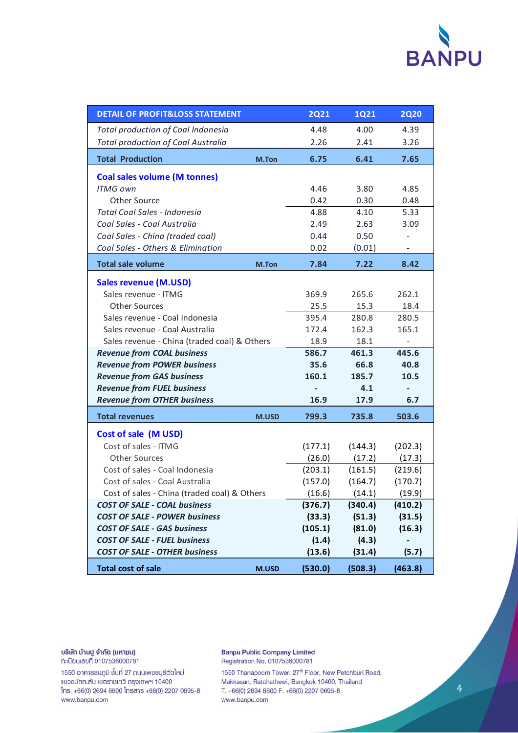

| <b>DETAIL OF PROFIT&amp;LOSS STATEMENT</b>   |       | <b>2Q21</b>              | 1Q21    | <b>2Q20</b> |
|----------------------------------------------|-------|--------------------------|---------|-------------|
| Total production of Coal Indonesia           |       | 4.48                     | 4.00    | 4.39        |
| <b>Total production of Coal Australia</b>    |       | 2.26                     | 2.41    | 3.26        |
| <b>Total Production</b>                      | M.Ton | 6.75                     | 6.41    | 7.65        |
| <b>Coal sales volume (M tonnes)</b>          |       |                          |         |             |
| <b>ITMG own</b>                              |       | 4.46                     | 3.80    | 4.85        |
| <b>Other Source</b>                          |       | 0.42                     | 0.30    | 0.48        |
| Total Coal Sales - Indonesia                 |       | 4.88                     | 4.10    | 5.33        |
| Coal Sales - Coal Australia                  |       | 2.49                     | 2.63    | 3.09        |
| Coal Sales - China (traded coal)             |       | 0.44                     | 0.50    |             |
| Coal Sales - Others & Elimination            |       | 0.02                     | (0.01)  |             |
| <b>Total sale volume</b>                     | M.Ton | 7.84                     | 7.22    | 8.42        |
| <b>Sales revenue (M.USD)</b>                 |       |                          |         |             |
| Sales revenue - ITMG                         |       | 369.9                    | 265.6   | 262.1       |
| <b>Other Sources</b>                         |       | 25.5                     | 15.3    | 18.4        |
| Sales revenue - Coal Indonesia               |       | 395.4                    | 280.8   | 280.5       |
| Sales revenue - Coal Australia               |       | 172.4                    | 162.3   | 165.1       |
| Sales revenue - China (traded coal) & Others |       | 18.9                     | 18.1    |             |
| <b>Revenue from COAL business</b>            |       | 586.7                    | 461.3   | 445.6       |
| <b>Revenue from POWER business</b>           |       | 35.6                     | 66.8    | 40.8        |
| <b>Revenue from GAS business</b>             |       | 160.1                    | 185.7   | 10.5        |
| <b>Revenue from FUEL business</b>            |       | $\overline{\phantom{a}}$ | 4.1     | ٠           |
| <b>Revenue from OTHER business</b>           |       | 16.9                     | 17.9    | 6.7         |
| <b>Total revenues</b>                        | M.USD | 799.3                    | 735.8   | 503.6       |
| <b>Cost of sale (M USD)</b>                  |       |                          |         |             |
| Cost of sales - ITMG                         |       | (177.1)                  | (144.3) | (202.3)     |
| <b>Other Sources</b>                         |       | (26.0)                   | (17.2)  | (17.3)      |
| Cost of sales - Coal Indonesia               |       | (203.1)                  | (161.5) | (219.6)     |
| Cost of sales - Coal Australia               |       | (157.0)                  | (164.7) | (170.7)     |
| Cost of sales - China (traded coal) & Others |       | (16.6)                   | (14.1)  | (19.9)      |
| <b>COST OF SALE - COAL business</b>          |       | (376.7)                  | (340.4) | (410.2)     |
| <b>COST OF SALE - POWER business</b>         |       | (33.3)                   | (51.3)  | (31.5)      |
| <b>COST OF SALE - GAS business</b>           |       | (105.1)                  | (81.0)  | (16.3)      |
| <b>COST OF SALE - FUEL business</b>          |       | (1.4)                    | (4.3)   |             |
| <b>COST OF SALE - OTHER business</b>         |       | (13.6)                   | (31.4)  | (5.7)       |
| <b>Total cost of sale</b>                    | M.USD | (530.0)                  | (508.3) | (463.8)     |

**บริษัท บ้านปู จำกัด (มหาชน)**<br>ทะเบียนเลขที่ 0107536000781

1550 อาคารธนภูมิ ชั้นที่ 27 ถนนเพชรบุรีตัดใหม่ แขวงมักกะสัน เขตราชเทวี กรุงเทพฯ 10400 Ins. +66(0) 2694 6600 Insans +66(0) 2207 0695-8 www.banpu.com

**Banpu Public Company Limited** Registration No. 0107536000781

1550 Thanapoom Tower, 27<sup>th</sup> Floor, New Petchburi Road, Makkasan, Ratchathewi, Bangkok 10400, Thailand T. +66(0) 2694 6600 F. +66(0) 2207 0695-8 www.banpu.com

 $\overline{4}$